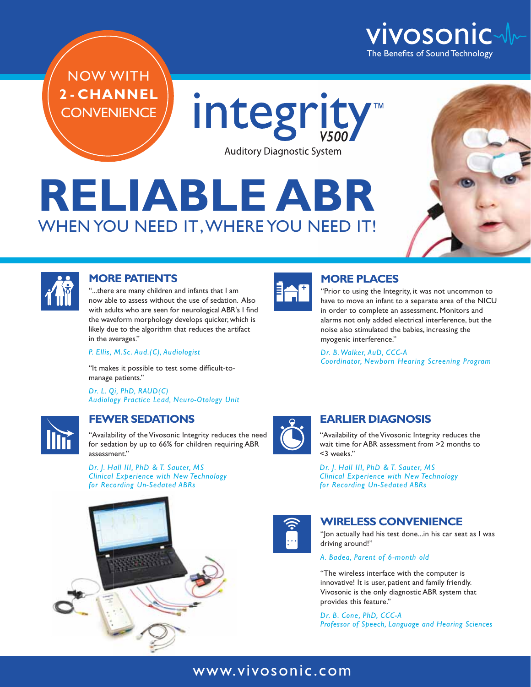

NOW WITH **2 - CHANNEL CONVENIENCE** 

integrity **Auditory Diagnostic System** 

# **RELIABLE ABR** WHEN YOU NEED IT, WHERE YOU NEED IT!





#### **MORE PATIENTS**

"...there are many children and infants that I am now able to assess without the use of sedation. Also with adults who are seen for neurological ABR's I find the waveform morphology develops quicker, which is likely due to the algorithm that reduces the artifact in the averages."

*P. Ellis, M.Sc. Aud.(C), Audiologist*

"It makes it possible to test some difficult-tomanage patients."

*Dr. L. Qi, PhD, RAUD(C) Audiology Practice Lead, Neuro-Otology Unit*



### **FEWER SEDATIONS**

"Availability of the Vivosonic Integrity reduces the need for sedation by up to 66% for children requiring ABR assessment."

*Dr. J. Hall III, PhD & T. Sauter, MS Clinical Experience with New Technology for Recording Un-Sedated ABRs*





### **MORE PLACES**

"Prior to using the Integrity, it was not uncommon to have to move an infant to a separate area of the NICU in order to complete an assessment. Monitors and alarms not only added electrical interference, but the noise also stimulated the babies, increasing the myogenic interference."

*Dr. B. Walker, AuD, CCC-A Coordinator, Newborn Hearing Screening Program*



### **EARLIER DIAGNOSIS**

"Availability of the Vivosonic Integrity reduces the wait time for ABR assessment from >2 months to <3 weeks."

*Dr. J. Hall III, PhD & T. Sauter, MS Clinical Experience with New Technology for Recording Un-Sedated ABRs*



### **WIRELESS CONVENIENCE**

"Jon actually had his test done...in his car seat as I was driving around!"

*A. Badea, Parent of 6-month old*

"The wireless interface with the computer is innovative! It is user, patient and family friendly. Vivosonic is the only diagnostic ABR system that provides this feature."

*Dr. B. Cone, PhD, CCC-A Professor of Speech, Language and Hearing Sciences*

## www.vivosonic.com